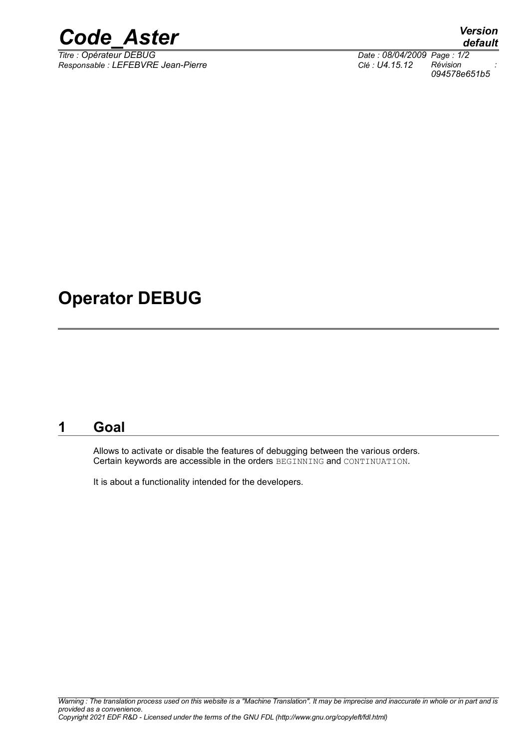

*Responsable : LEFEBVRE Jean-Pierre Clé : U4.15.12 Révision :*

*default Date : 08/04/2009 Page : 1/2*<br>*Clé : U4.15.12 Révision 094578e651b5*

## **Operator DEBUG**

### **1 Goal**

Allows to activate or disable the features of debugging between the various orders. Certain keywords are accessible in the orders BEGINNING and CONTINUATION.

It is about a functionality intended for the developers.